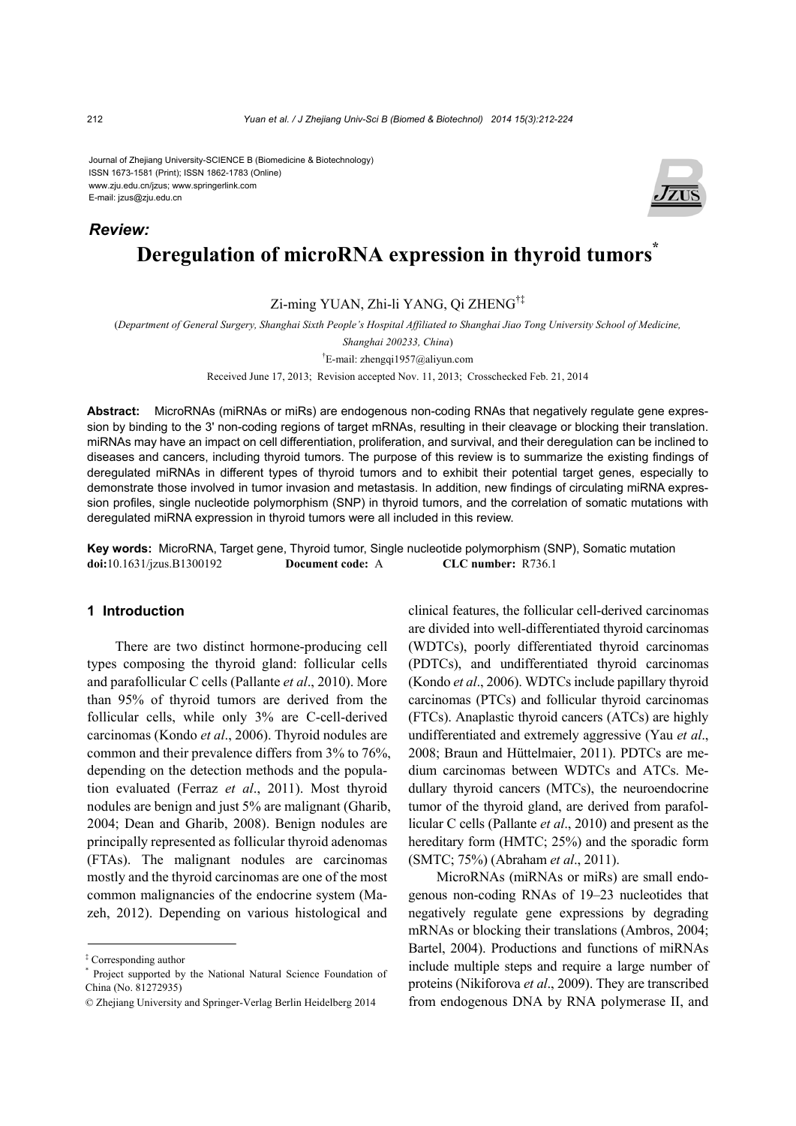Journal of Zhejiang University-SCIENCE B (Biomedicine & Biotechnology) ISSN 1673-1581 (Print); ISSN 1862-1783 (Online) www.zju.edu.cn/jzus; www.springerlink.com E-mail: jzus@zju.edu.cn

# **Deregulation of microRNA expression in thyroid tumors<sup>\*</sup>** *Review:*

# Zi-ming YUAN, Zhi-li YANG, Qi ZHENG†‡

(*Department of General Surgery, Shanghai Sixth People's Hospital Affiliated to Shanghai Jiao Tong University School of Medicine,* 

*Shanghai 200233, China*)

† E-mail: zhengqi1957@aliyun.com Received June 17, 2013; Revision accepted Nov. 11, 2013; Crosschecked Feb. 21, 2014

**Abstract:** MicroRNAs (miRNAs or miRs) are endogenous non-coding RNAs that negatively regulate gene expression by binding to the 3' non-coding regions of target mRNAs, resulting in their cleavage or blocking their translation. miRNAs may have an impact on cell differentiation, proliferation, and survival, and their deregulation can be inclined to diseases and cancers, including thyroid tumors. The purpose of this review is to summarize the existing findings of deregulated miRNAs in different types of thyroid tumors and to exhibit their potential target genes, especially to demonstrate those involved in tumor invasion and metastasis. In addition, new findings of circulating miRNA expression profiles, single nucleotide polymorphism (SNP) in thyroid tumors, and the correlation of somatic mutations with deregulated miRNA expression in thyroid tumors were all included in this review.

**Key words:** MicroRNA, Target gene, Thyroid tumor, Single nucleotide polymorphism (SNP), Somatic mutation **doi:**10.1631/jzus.B1300192 **Document code:** A **CLC number:** R736.1

#### **1 Introduction**

There are two distinct hormone-producing cell types composing the thyroid gland: follicular cells and parafollicular C cells (Pallante *et al*., 2010). More than 95% of thyroid tumors are derived from the follicular cells, while only 3% are C-cell-derived carcinomas (Kondo *et al*., 2006). Thyroid nodules are common and their prevalence differs from 3% to 76%, depending on the detection methods and the population evaluated (Ferraz *et al*., 2011). Most thyroid nodules are benign and just 5% are malignant (Gharib, 2004; Dean and Gharib, 2008). Benign nodules are principally represented as follicular thyroid adenomas (FTAs). The malignant nodules are carcinomas mostly and the thyroid carcinomas are one of the most common malignancies of the endocrine system (Mazeh, 2012). Depending on various histological and

clinical features, the follicular cell-derived carcinomas are divided into well-differentiated thyroid carcinomas (WDTCs), poorly differentiated thyroid carcinomas (PDTCs), and undifferentiated thyroid carcinomas (Kondo *et al*., 2006). WDTCs include papillary thyroid carcinomas (PTCs) and follicular thyroid carcinomas (FTCs). Anaplastic thyroid cancers (ATCs) are highly undifferentiated and extremely aggressive (Yau *et al*., 2008; Braun and Hüttelmaier, 2011). PDTCs are medium carcinomas between WDTCs and ATCs. Medullary thyroid cancers (MTCs), the neuroendocrine tumor of the thyroid gland, are derived from parafollicular C cells (Pallante *et al*., 2010) and present as the hereditary form (HMTC; 25%) and the sporadic form (SMTC; 75%) (Abraham *et al*., 2011).

MicroRNAs (miRNAs or miRs) are small endogenous non-coding RNAs of 19–23 nucleotides that negatively regulate gene expressions by degrading mRNAs or blocking their translations (Ambros, 2004; Bartel, 2004). Productions and functions of miRNAs include multiple steps and require a large number of proteins (Nikiforova *et al*., 2009). They are transcribed from endogenous DNA by RNA polymerase II, and



<sup>‡</sup> Corresponding author

<sup>\*</sup> Project supported by the National Natural Science Foundation of China (No. 81272935)

<sup>©</sup> Zhejiang University and Springer-Verlag Berlin Heidelberg 2014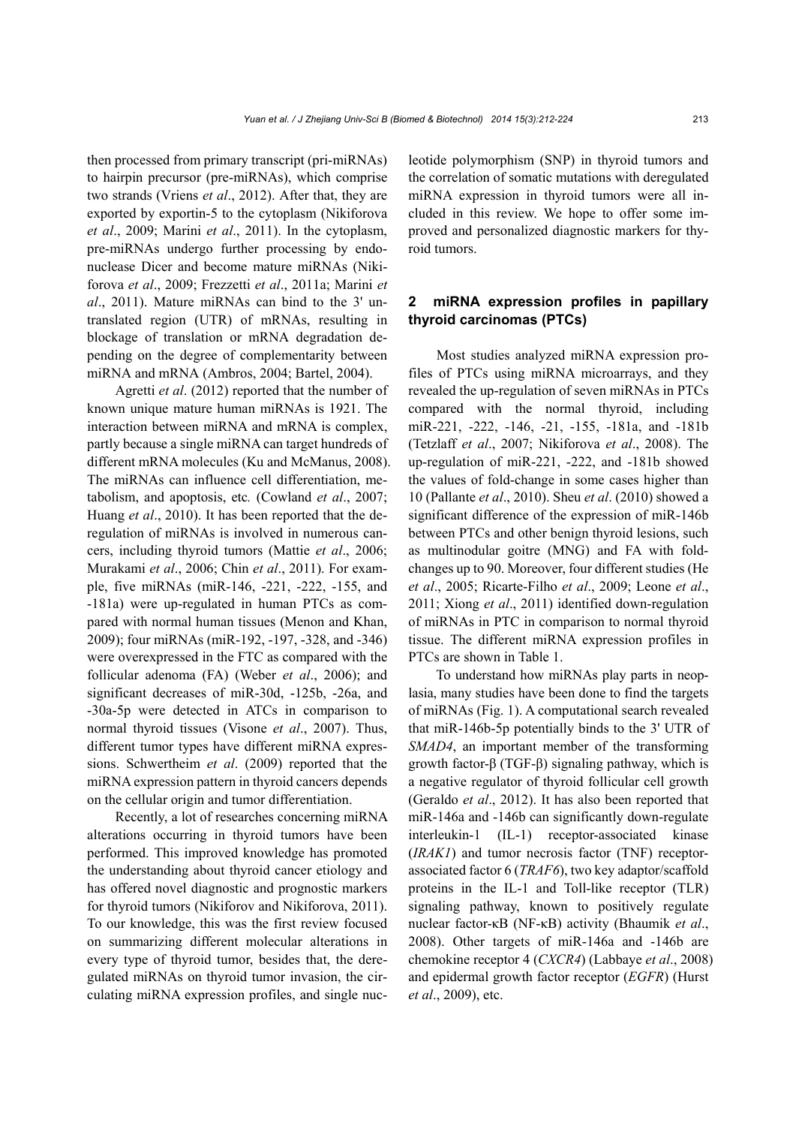then processed from primary transcript (pri-miRNAs) to hairpin precursor (pre-miRNAs), which comprise two strands (Vriens *et al*., 2012). After that, they are exported by exportin-5 to the cytoplasm (Nikiforova *et al*., 2009; Marini *et al*., 2011). In the cytoplasm, pre-miRNAs undergo further processing by endonuclease Dicer and become mature miRNAs (Nikiforova *et al*., 2009; Frezzetti *et al*., 2011a; Marini *et al*., 2011). Mature miRNAs can bind to the 3' untranslated region (UTR) of mRNAs, resulting in blockage of translation or mRNA degradation depending on the degree of complementarity between miRNA and mRNA (Ambros, 2004; Bartel, 2004).

Agretti *et al*. (2012) reported that the number of known unique mature human miRNAs is 1921. The interaction between miRNA and mRNA is complex, partly because a single miRNA can target hundreds of different mRNA molecules (Ku and McManus, 2008). The miRNAs can influence cell differentiation, metabolism, and apoptosis, etc*.* (Cowland *et al*., 2007; Huang *et al*., 2010). It has been reported that the deregulation of miRNAs is involved in numerous cancers, including thyroid tumors (Mattie *et al*., 2006; Murakami *et al*., 2006; Chin *et al*., 2011). For example, five miRNAs (miR-146, -221, -222, -155, and -181a) were up-regulated in human PTCs as compared with normal human tissues (Menon and Khan, 2009); four miRNAs (miR-192, -197, -328, and -346) were overexpressed in the FTC as compared with the follicular adenoma (FA) (Weber *et al*., 2006); and significant decreases of miR-30d, -125b, -26a, and -30a-5p were detected in ATCs in comparison to normal thyroid tissues (Visone *et al*., 2007). Thus, different tumor types have different miRNA expressions. Schwertheim *et al*. (2009) reported that the miRNA expression pattern in thyroid cancers depends on the cellular origin and tumor differentiation.

Recently, a lot of researches concerning miRNA alterations occurring in thyroid tumors have been performed. This improved knowledge has promoted the understanding about thyroid cancer etiology and has offered novel diagnostic and prognostic markers for thyroid tumors (Nikiforov and Nikiforova, 2011). To our knowledge, this was the first review focused on summarizing different molecular alterations in every type of thyroid tumor, besides that, the deregulated miRNAs on thyroid tumor invasion, the circulating miRNA expression profiles, and single nucleotide polymorphism (SNP) in thyroid tumors and the correlation of somatic mutations with deregulated miRNA expression in thyroid tumors were all included in this review. We hope to offer some improved and personalized diagnostic markers for thyroid tumors.

#### **2 miRNA expression profiles in papillary thyroid carcinomas (PTCs)**

Most studies analyzed miRNA expression profiles of PTCs using miRNA microarrays, and they revealed the up-regulation of seven miRNAs in PTCs compared with the normal thyroid, including miR-221, -222, -146, -21, -155, -181a, and -181b (Tetzlaff *et al*., 2007; Nikiforova *et al*., 2008). The up-regulation of miR-221, -222, and -181b showed the values of fold-change in some cases higher than 10 (Pallante *et al*., 2010). Sheu *et al*. (2010) showed a significant difference of the expression of miR-146b between PTCs and other benign thyroid lesions, such as multinodular goitre (MNG) and FA with foldchanges up to 90. Moreover, four different studies (He *et al*., 2005; Ricarte-Filho *et al*., 2009; Leone *et al*., 2011; Xiong *et al*., 2011) identified down-regulation of miRNAs in PTC in comparison to normal thyroid tissue. The different miRNA expression profiles in PTCs are shown in Table 1.

To understand how miRNAs play parts in neoplasia, many studies have been done to find the targets of miRNAs (Fig. 1). A computational search revealed that miR-146b-5p potentially binds to the 3' UTR of *SMAD4*, an important member of the transforming growth factor-β (TGF-β) signaling pathway, which is a negative regulator of thyroid follicular cell growth (Geraldo *et al*., 2012). It has also been reported that miR-146a and -146b can significantly down-regulate interleukin-1 (IL-1) receptor-associated kinase (*IRAK1*) and tumor necrosis factor (TNF) receptorassociated factor 6 (*TRAF6*), two key adaptor/scaffold proteins in the IL-1 and Toll-like receptor (TLR) signaling pathway, known to positively regulate nuclear factor-κB (NF-κB) activity (Bhaumik *et al*., 2008). Other targets of miR-146a and -146b are chemokine receptor 4 (*CXCR4*) (Labbaye *et al*., 2008) and epidermal growth factor receptor (*EGFR*) (Hurst *et al*., 2009), etc.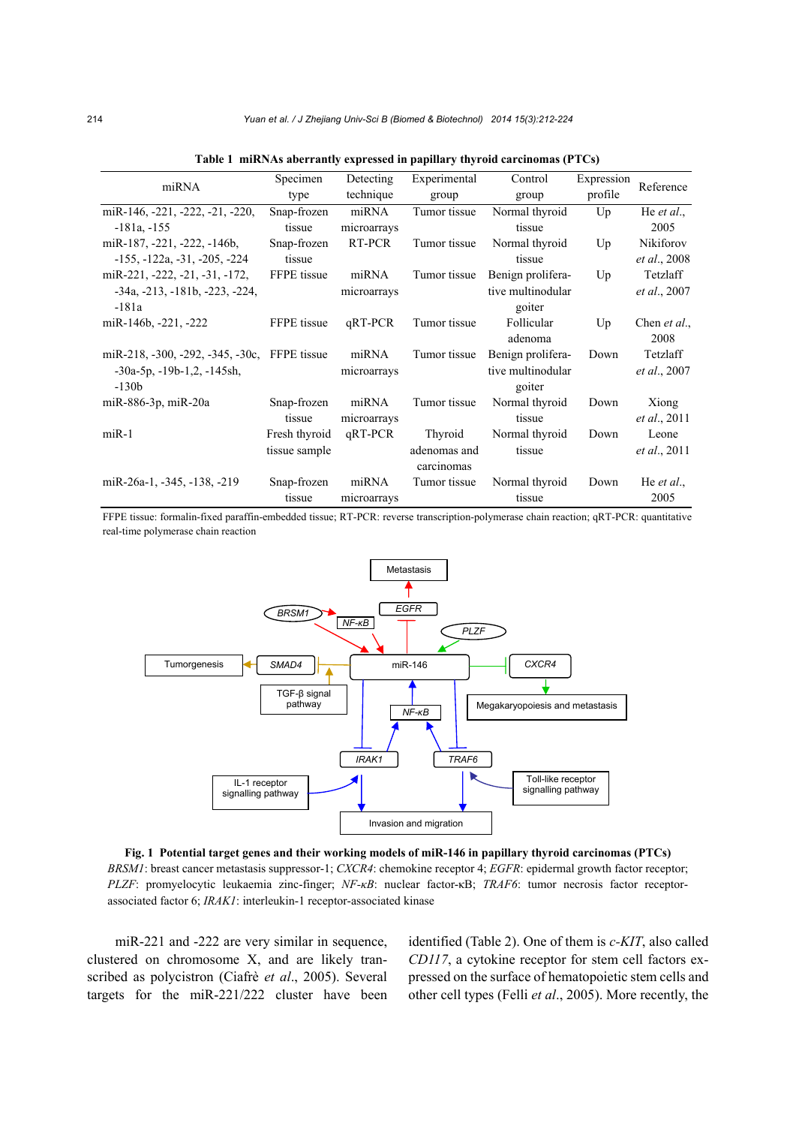| miRNA                                         | Specimen      | Detecting   | Experimental | Control           | Expression | Reference            |
|-----------------------------------------------|---------------|-------------|--------------|-------------------|------------|----------------------|
|                                               | type          | technique   | group        | group             | profile    |                      |
| miR-146, -221, -222, -21, -220,               | Snap-frozen   | miRNA       | Tumor tissue | Normal thyroid    | Up         | He <i>et al.</i> ,   |
| $-181a$ , $-155$                              | tissue        | microarrays |              | tissue            |            | 2005                 |
| miR-187, -221, -222, -146b,                   | Snap-frozen   | RT-PCR      | Tumor tissue | Normal thyroid    | Up         | Nikiforov            |
| $-155, -122a, -31, -205, -224$                | tissue        |             |              | tissue            |            | et al., 2008         |
| miR-221, -222, -21, -31, -172,                | FFPE tissue   | miRNA       | Tumor tissue | Benign prolifera- | Up         | Tetzlaff             |
| $-34a$ , $-213$ , $-181b$ , $-223$ , $-224$ , |               | microarrays |              | tive multinodular |            | <i>et al.</i> , 2007 |
| $-181a$                                       |               |             |              | goiter            |            |                      |
| miR-146b, $-221$ , $-222$                     | FFPE tissue   | qRT-PCR     | Tumor tissue | Follicular        | Up         | Chen <i>et al.</i> , |
|                                               |               |             |              | adenoma           |            | 2008                 |
| miR-218, -300, -292, -345, -30c, FFPE tissue  |               | miRNA       | Tumor tissue | Benign prolifera- | Down       | Tetzlaff             |
| $-30a-5p$ , $-19b-1,2$ , $-145sh$ ,           |               | microarrays |              | tive multinodular |            | <i>et al.</i> , 2007 |
| $-130b$                                       |               |             |              | goiter            |            |                      |
| miR-886-3p, miR-20a                           | Snap-frozen   | miRNA       | Tumor tissue | Normal thyroid    | Down       | Xiong                |
|                                               | tissue        | microarrays |              | tissue            |            | <i>et al.</i> , 2011 |
| $miR-1$                                       | Fresh thyroid | qRT-PCR     | Thyroid      | Normal thyroid    | Down       | Leone                |
|                                               | tissue sample |             | adenomas and | tissue            |            | <i>et al.</i> , 2011 |
|                                               |               |             | carcinomas   |                   |            |                      |
| miR-26a-1, -345, -138, -219                   | Snap-frozen   | miRNA       | Tumor tissue | Normal thyroid    | Down       | He <i>et al.</i> ,   |
|                                               | tissue        | microarrays |              | tissue            |            | 2005                 |

| Table 1 miRNAs aberrantly expressed in papillary thyroid carcinomas (PTCs) |  |  |
|----------------------------------------------------------------------------|--|--|
|                                                                            |  |  |

FFPE tissue: formalin-fixed paraffin-embedded tissue; RT-PCR: reverse transcription-polymerase chain reaction; qRT-PCR: quantitative real-time polymerase chain reaction



**Fig. 1 Potential target genes and their working models of miR-146 in papillary thyroid carcinomas (PTCs)**  *BRSM1*: breast cancer metastasis suppressor-1; *CXCR4*: chemokine receptor 4; *EGFR*: epidermal growth factor receptor; *PLZF*: promyelocytic leukaemia zinc-finger; *NF-κB*: nuclear factor-κB; *TRAF6*: tumor necrosis factor receptorassociated factor 6; *IRAK1*: interleukin-1 receptor-associated kinase

miR-221 and -222 are very similar in sequence, clustered on chromosome X, and are likely transcribed as polycistron (Ciafrè *et al*., 2005). Several targets for the miR-221/222 cluster have been identified (Table 2). One of them is *c-KIT*, also called *CD117*, a cytokine receptor for stem cell factors expressed on the surface of hematopoietic stem cells and other cell types (Felli *et al*., 2005). More recently, the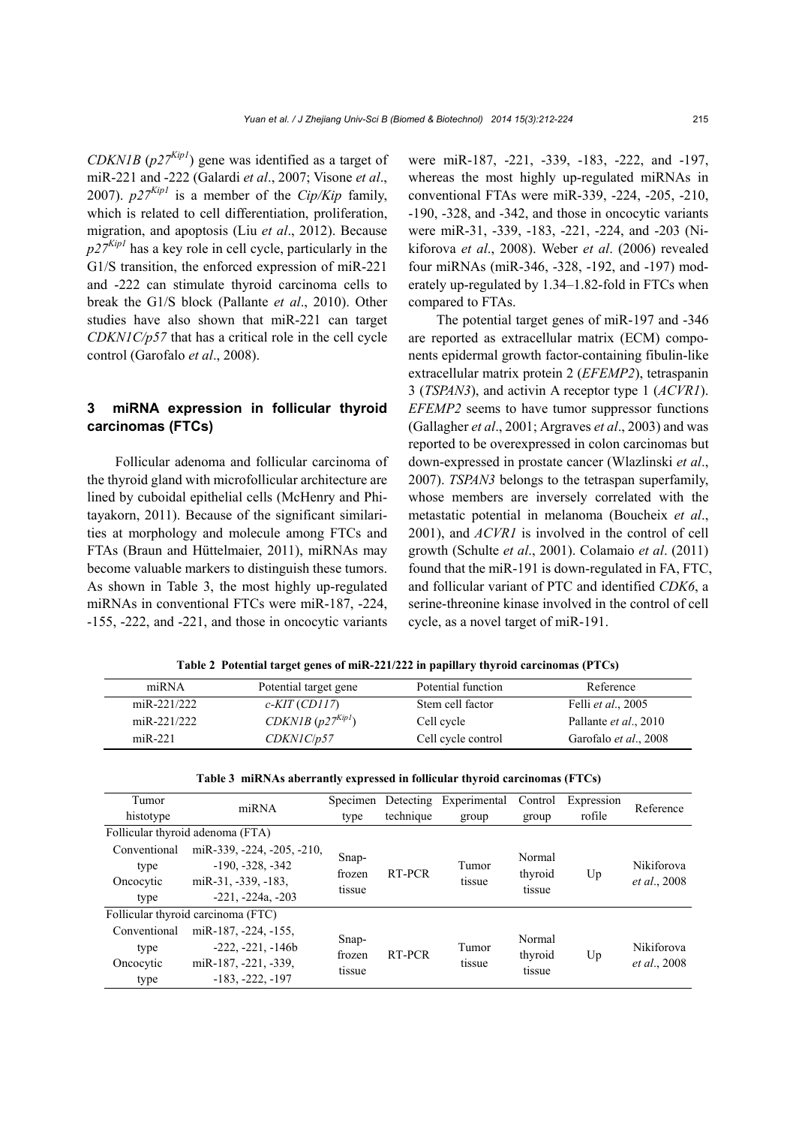*CDKN1B* (*p27Kip1*) gene was identified as a target of miR-221 and -222 (Galardi *et al*., 2007; Visone *et al*., 2007).  $p27^{Kipl}$  is a member of the *Cip/Kip* family, which is related to cell differentiation, proliferation, migration, and apoptosis (Liu *et al*., 2012). Because  $p27^{Kip1}$  has a key role in cell cycle, particularly in the G1/S transition, the enforced expression of miR-221 and -222 can stimulate thyroid carcinoma cells to break the G1/S block (Pallante *et al*., 2010). Other studies have also shown that miR-221 can target *CDKN1C/p57* that has a critical role in the cell cycle control (Garofalo *et al*., 2008).

#### **3 miRNA expression in follicular thyroid carcinomas (FTCs)**

Follicular adenoma and follicular carcinoma of the thyroid gland with microfollicular architecture are lined by cuboidal epithelial cells (McHenry and Phitayakorn, 2011). Because of the significant similarities at morphology and molecule among FTCs and FTAs (Braun and Hüttelmaier, 2011), miRNAs may become valuable markers to distinguish these tumors. As shown in Table 3, the most highly up-regulated miRNAs in conventional FTCs were miR-187, -224, -155, -222, and -221, and those in oncocytic variants

were miR-187, -221, -339, -183, -222, and -197, whereas the most highly up-regulated miRNAs in conventional FTAs were miR-339, -224, -205, -210, -190, -328, and -342, and those in oncocytic variants were miR-31, -339, -183, -221, -224, and -203 (Nikiforova *et al*., 2008). Weber *et al*. (2006) revealed four miRNAs (miR-346, -328, -192, and -197) moderately up-regulated by 1.34–1.82-fold in FTCs when compared to FTAs.

The potential target genes of miR-197 and -346 are reported as extracellular matrix (ECM) components epidermal growth factor-containing fibulin-like extracellular matrix protein 2 (*EFEMP2*), tetraspanin 3 (*TSPAN3*), and activin A receptor type 1 (*ACVR1*). *EFEMP2* seems to have tumor suppressor functions (Gallagher *et al*., 2001; Argraves *et al*., 2003) and was reported to be overexpressed in colon carcinomas but down-expressed in prostate cancer (Wlazlinski *et al*., 2007). *TSPAN3* belongs to the tetraspan superfamily, whose members are inversely correlated with the metastatic potential in melanoma (Boucheix *et al*., 2001), and *ACVR1* is involved in the control of cell growth (Schulte *et al*., 2001). Colamaio *et al*. (2011) found that the miR-191 is down-regulated in FA, FTC, and follicular variant of PTC and identified *CDK6*, a serine-threonine kinase involved in the control of cell cycle, as a novel target of miR-191.

| miRNA       | Potential target gene | Potential function | Reference                  |
|-------------|-----------------------|--------------------|----------------------------|
| miR-221/222 | $c$ -KIT (CD117)      | Stem cell factor   | Felli <i>et al.</i> , 2005 |
| miR-221/222 | CDKN1B $(p27^{Kip1})$ | Cell cycle         | Pallante et al., 2010      |
| $miR-221$   | CDKNIC/p57            | Cell cycle control | Garofalo et al., 2008      |

**Table 2 Potential target genes of miR-221/222 in papillary thyroid carcinomas (PTCs)**

| Table 3 miRNAs aberrantly expressed in follicular thyroid carcinomas (FTCs) |                                    |                 |           |                 |         |            |                                           |
|-----------------------------------------------------------------------------|------------------------------------|-----------------|-----------|-----------------|---------|------------|-------------------------------------------|
| Tumor                                                                       | miRNA                              | Specimen        | Detecting | Experimental    | Control | Expression | Reference                                 |
| histotype                                                                   |                                    | type            | technique | group           | group   | rofile     |                                           |
|                                                                             | Follicular thyroid adenoma (FTA)   |                 |           |                 |         |            |                                           |
| Conventional                                                                | miR-339, -224, -205, -210,         |                 |           |                 | Normal  |            |                                           |
| type                                                                        | $-190. -328. -342$                 | Snap-<br>frozen | RT-PCR    | Tumor<br>tissue | thyroid | Up         | <b>Nikiforova</b><br><i>et al.</i> , 2008 |
| Oncocytic                                                                   | miR-31, -339, -183,                | tissue          |           |                 | tissue  |            |                                           |
| type                                                                        | $-221, -224a, -203$                |                 |           |                 |         |            |                                           |
|                                                                             | Follicular thyroid carcinoma (FTC) |                 |           |                 |         |            |                                           |
| Conventional                                                                | miR-187, -224, -155,               |                 |           |                 | Normal  |            |                                           |
| type                                                                        | $-222, -221, -146b$                | Snap-           | RT-PCR    | Tumor           |         |            | Nikiforova                                |
| Oncocytic                                                                   | miR-187, -221, -339,               | frozen          |           | tissue          | thyroid | Up         | <i>et al.</i> , 2008                      |
| type                                                                        | $-183, -222, -197$                 | tissue          |           |                 | tissue  |            |                                           |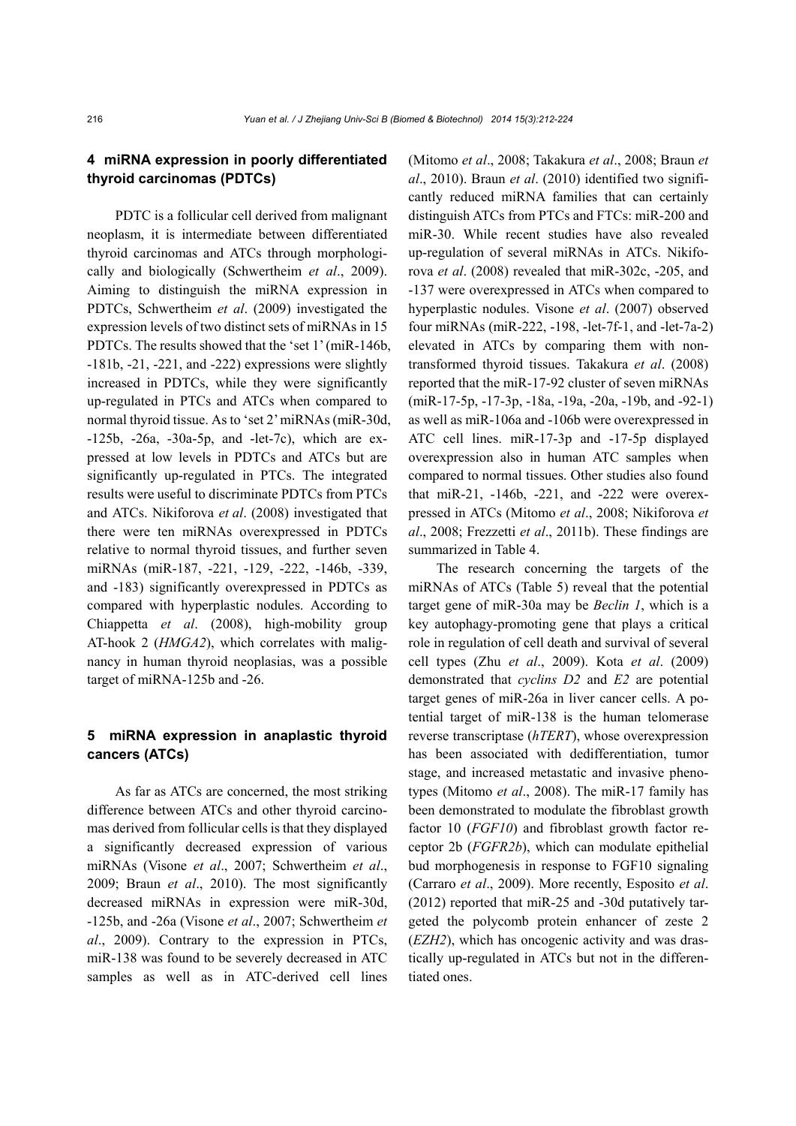# **4 miRNA expression in poorly differentiated thyroid carcinomas (PDTCs)**

PDTC is a follicular cell derived from malignant neoplasm, it is intermediate between differentiated thyroid carcinomas and ATCs through morphologically and biologically (Schwertheim *et al*., 2009). Aiming to distinguish the miRNA expression in PDTCs, Schwertheim *et al*. (2009) investigated the expression levels of two distinct sets of miRNAs in 15 PDTCs. The results showed that the 'set 1' (miR-146b, -181b, -21, -221, and -222) expressions were slightly increased in PDTCs, while they were significantly up-regulated in PTCs and ATCs when compared to normal thyroid tissue. As to 'set 2' miRNAs (miR-30d, -125b, -26a, -30a-5p, and -let-7c), which are expressed at low levels in PDTCs and ATCs but are significantly up-regulated in PTCs. The integrated results were useful to discriminate PDTCs from PTCs and ATCs. Nikiforova *et al*. (2008) investigated that there were ten miRNAs overexpressed in PDTCs relative to normal thyroid tissues, and further seven miRNAs (miR-187, -221, -129, -222, -146b, -339, and -183) significantly overexpressed in PDTCs as compared with hyperplastic nodules. According to Chiappetta *et al*. (2008), high-mobility group AT-hook 2 (*HMGA2*), which correlates with malignancy in human thyroid neoplasias, was a possible target of miRNA-125b and -26.

#### **5 miRNA expression in anaplastic thyroid cancers (ATCs)**

As far as ATCs are concerned, the most striking difference between ATCs and other thyroid carcinomas derived from follicular cells is that they displayed a significantly decreased expression of various miRNAs (Visone *et al*., 2007; Schwertheim *et al*., 2009; Braun *et al*., 2010). The most significantly decreased miRNAs in expression were miR-30d, -125b, and -26a (Visone *et al*., 2007; Schwertheim *et al*., 2009). Contrary to the expression in PTCs, miR-138 was found to be severely decreased in ATC samples as well as in ATC-derived cell lines (Mitomo *et al*., 2008; Takakura *et al*., 2008; Braun *et al*., 2010). Braun *et al*. (2010) identified two significantly reduced miRNA families that can certainly distinguish ATCs from PTCs and FTCs: miR-200 and miR-30. While recent studies have also revealed up-regulation of several miRNAs in ATCs. Nikiforova *et al*. (2008) revealed that miR-302c, -205, and -137 were overexpressed in ATCs when compared to hyperplastic nodules. Visone *et al*. (2007) observed four miRNAs (miR-222, -198, -let-7f-1, and -let-7a-2) elevated in ATCs by comparing them with nontransformed thyroid tissues. Takakura *et al*. (2008) reported that the miR-17-92 cluster of seven miRNAs (miR-17-5p, -17-3p, -18a, -19a, -20a, -19b, and -92-1) as well as miR-106a and -106b were overexpressed in ATC cell lines. miR-17-3p and -17-5p displayed overexpression also in human ATC samples when compared to normal tissues. Other studies also found that miR-21, -146b, -221, and -222 were overexpressed in ATCs (Mitomo *et al*., 2008; Nikiforova *et al*., 2008; Frezzetti *et al*., 2011b). These findings are summarized in Table 4.

The research concerning the targets of the miRNAs of ATCs (Table 5) reveal that the potential target gene of miR-30a may be *Beclin 1*, which is a key autophagy-promoting gene that plays a critical role in regulation of cell death and survival of several cell types (Zhu *et al*., 2009). Kota *et al*. (2009) demonstrated that *cyclins D2* and *E2* are potential target genes of miR-26a in liver cancer cells. A potential target of miR-138 is the human telomerase reverse transcriptase (*hTERT*), whose overexpression has been associated with dedifferentiation, tumor stage, and increased metastatic and invasive phenotypes (Mitomo *et al*., 2008). The miR-17 family has been demonstrated to modulate the fibroblast growth factor 10 (*FGF10*) and fibroblast growth factor receptor 2b (*FGFR2b*), which can modulate epithelial bud morphogenesis in response to FGF10 signaling (Carraro *et al*., 2009). More recently, Esposito *et al*. (2012) reported that miR-25 and -30d putatively targeted the polycomb protein enhancer of zeste 2 (*EZH2*), which has oncogenic activity and was drastically up-regulated in ATCs but not in the differentiated ones.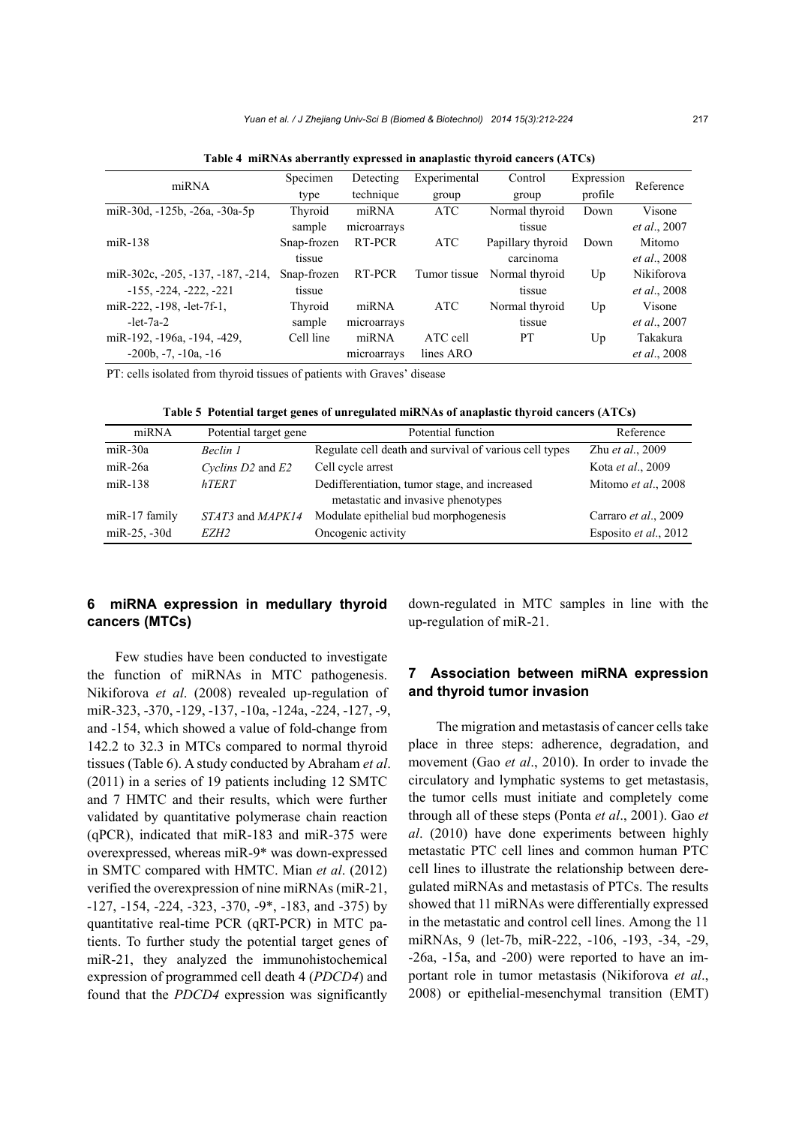| miRNA                             | Specimen    | Detecting   | Experimental | Control           | Expression | Reference            |
|-----------------------------------|-------------|-------------|--------------|-------------------|------------|----------------------|
|                                   | type        | technique   | group        | group             | profile    |                      |
| miR-30d, -125b, -26a, -30a-5p     | Thyroid     | miRNA       | <b>ATC</b>   | Normal thyroid    | Down       | Visone               |
|                                   | sample      | microarrays |              | tissue            |            | <i>et al.</i> , 2007 |
| $miR-138$                         | Snap-frozen | RT-PCR      | <b>ATC</b>   | Papillary thyroid | Down       | Mitomo               |
|                                   | tissue      |             |              | carcinoma         |            | <i>et al.</i> , 2008 |
| miR-302c, -205, -137, -187, -214, | Snap-frozen | RT-PCR      | Tumor tissue | Normal thyroid    | Up         | Nikiforova           |
| $-155, -224, -222, -221$          | tissue      |             |              | tissue            |            | <i>et al.</i> , 2008 |
| miR-222, $-198$ , $-let-7f-1$ ,   | Thyroid     | miRNA       | <b>ATC</b>   | Normal thyroid    | Up         | Visone               |
| $-let-7a-2$                       | sample      | microarrays |              | tissue            |            | <i>et al.</i> , 2007 |
| miR-192, -196a, -194, -429,       | Cell line   | miRNA       | ATC cell     | <b>PT</b>         | Up         | Takakura             |
| $-200b, -7, -10a, -16$            |             | microarrays | lines ARO    |                   |            | <i>et al.</i> , 2008 |

**Table 4 miRNAs aberrantly expressed in anaplastic thyroid cancers (ATCs)**

PT: cells isolated from thyroid tissues of patients with Graves' disease

**Table 5 Potential target genes of unregulated miRNAs of anaplastic thyroid cancers (ATCs)**

| miRNA           | Potential target gene | Potential function                                                                  | Reference             |
|-----------------|-----------------------|-------------------------------------------------------------------------------------|-----------------------|
| $miR-30a$       | Beclin 1              | Regulate cell death and survival of various cell types                              | Zhu et al., 2009      |
| $miR-26a$       | Cyclins D2 and E2     | Cell cycle arrest                                                                   | Kota et al., 2009     |
| $miR-138$       | <b>hTERT</b>          | Dedifferentiation, tumor stage, and increased<br>metastatic and invasive phenotypes | Mitomo et al., 2008   |
| miR-17 family   | STAT3 and MAPK14      | Modulate epithelial bud morphogenesis                                               | Carraro et al., 2009  |
| $m$ iR-25, -30d | EZH <sub>2</sub>      | Oncogenic activity                                                                  | Esposito et al., 2012 |

#### **6 miRNA expression in medullary thyroid cancers (MTCs)**

Few studies have been conducted to investigate the function of miRNAs in MTC pathogenesis. Nikiforova *et al*. (2008) revealed up-regulation of miR-323, -370, -129, -137, -10a, -124a, -224, -127, -9, and -154, which showed a value of fold-change from 142.2 to 32.3 in MTCs compared to normal thyroid tissues (Table 6). A study conducted by Abraham *et al*. (2011) in a series of 19 patients including 12 SMTC and 7 HMTC and their results, which were further validated by quantitative polymerase chain reaction (qPCR), indicated that miR-183 and miR-375 were overexpressed, whereas miR-9\* was down-expressed in SMTC compared with HMTC. Mian *et al*. (2012) verified the overexpression of nine miRNAs (miR-21, -127, -154, -224, -323, -370, -9\*, -183, and -375) by quantitative real-time PCR (qRT-PCR) in MTC patients. To further study the potential target genes of miR-21, they analyzed the immunohistochemical expression of programmed cell death 4 (*PDCD4*) and found that the *PDCD4* expression was significantly

down-regulated in MTC samples in line with the up-regulation of miR-21.

### **7 Association between miRNA expression and thyroid tumor invasion**

The migration and metastasis of cancer cells take place in three steps: adherence, degradation, and movement (Gao *et al*., 2010). In order to invade the circulatory and lymphatic systems to get metastasis, the tumor cells must initiate and completely come through all of these steps (Ponta *et al*., 2001). Gao *et al*. (2010) have done experiments between highly metastatic PTC cell lines and common human PTC cell lines to illustrate the relationship between deregulated miRNAs and metastasis of PTCs. The results showed that 11 miRNAs were differentially expressed in the metastatic and control cell lines. Among the 11 miRNAs, 9 (let-7b, miR-222, -106, -193, -34, -29, -26a, -15a, and -200) were reported to have an important role in tumor metastasis (Nikiforova *et al*., 2008) or epithelial-mesenchymal transition (EMT)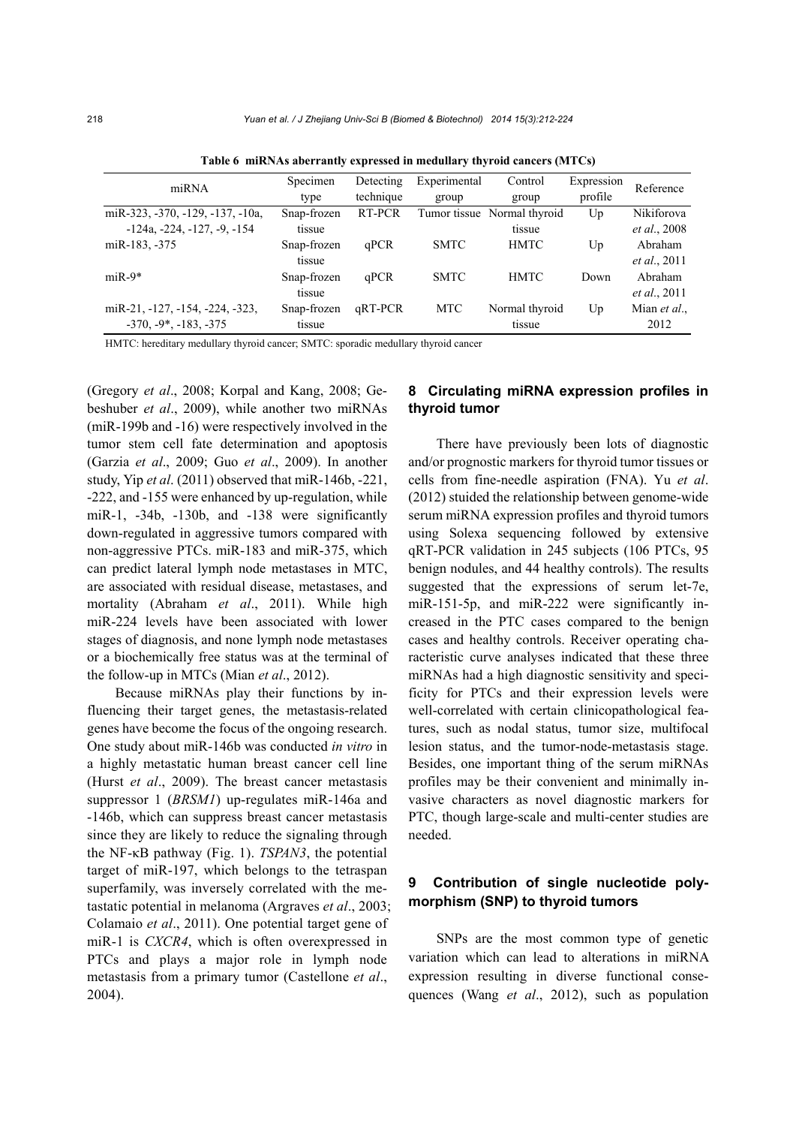| miRNA                                     | Specimen    | Detecting | Experimental | Control                     | Expression | Reference            |
|-------------------------------------------|-------------|-----------|--------------|-----------------------------|------------|----------------------|
|                                           | type        | technique | group        | group                       | profile    |                      |
| miR-323, -370, -129, -137, -10a,          | Snap-frozen | RT-PCR    |              | Tumor tissue Normal thyroid | Up         | Nikiforova           |
| $-124a$ , $-224$ , $-127$ , $-9$ , $-154$ | tissue      |           |              | tissue                      |            | <i>et al.</i> , 2008 |
| miR-183, -375                             | Snap-frozen | qPCR      | <b>SMTC</b>  | <b>HMTC</b>                 | Up         | Abraham              |
|                                           | tissue      |           |              |                             |            | <i>et al.</i> , 2011 |
| $miR-9*$                                  | Snap-frozen | qPCR      | <b>SMTC</b>  | <b>HMTC</b>                 | Down       | Abraham              |
|                                           | tissue      |           |              |                             |            | <i>et al.</i> , 2011 |
| miR-21, -127, -154, -224, -323,           | Snap-frozen | aRT-PCR   | <b>MTC</b>   | Normal thyroid              | Up         | Mian et al.,         |
| $-370, -9^*$ , $-183, -375$               | tissue      |           |              | tissue                      |            | 2012                 |

**Table 6 miRNAs aberrantly expressed in medullary thyroid cancers (MTCs)** 

HMTC: hereditary medullary thyroid cancer; SMTC: sporadic medullary thyroid cancer

(Gregory *et al*., 2008; Korpal and Kang, 2008; Gebeshuber *et al*., 2009), while another two miRNAs (miR-199b and -16) were respectively involved in the tumor stem cell fate determination and apoptosis (Garzia *et al*., 2009; Guo *et al*., 2009). In another study, Yip *et al*. (2011) observed that miR-146b, -221, -222, and -155 were enhanced by up-regulation, while miR-1, -34b, -130b, and -138 were significantly down-regulated in aggressive tumors compared with non-aggressive PTCs. miR-183 and miR-375, which can predict lateral lymph node metastases in MTC, are associated with residual disease, metastases, and mortality (Abraham *et al*., 2011). While high miR-224 levels have been associated with lower stages of diagnosis, and none lymph node metastases or a biochemically free status was at the terminal of the follow-up in MTCs (Mian *et al*., 2012).

Because miRNAs play their functions by influencing their target genes, the metastasis-related genes have become the focus of the ongoing research. One study about miR-146b was conducted *in vitro* in a highly metastatic human breast cancer cell line (Hurst *et al*., 2009). The breast cancer metastasis suppressor 1 (*BRSM1*) up-regulates miR-146a and -146b, which can suppress breast cancer metastasis since they are likely to reduce the signaling through the NF-κB pathway (Fig. 1). *TSPAN3*, the potential target of miR-197, which belongs to the tetraspan superfamily, was inversely correlated with the metastatic potential in melanoma (Argraves *et al*., 2003; Colamaio *et al*., 2011). One potential target gene of miR-1 is *CXCR4*, which is often overexpressed in PTCs and plays a major role in lymph node metastasis from a primary tumor (Castellone *et al*., 2004).

#### **8 Circulating miRNA expression profiles in thyroid tumor**

There have previously been lots of diagnostic and/or prognostic markers for thyroid tumor tissues or cells from fine-needle aspiration (FNA). Yu *et al*. (2012) stuided the relationship between genome-wide serum miRNA expression profiles and thyroid tumors using Solexa sequencing followed by extensive qRT-PCR validation in 245 subjects (106 PTCs, 95 benign nodules, and 44 healthy controls). The results suggested that the expressions of serum let-7e, miR-151-5p, and miR-222 were significantly increased in the PTC cases compared to the benign cases and healthy controls. Receiver operating characteristic curve analyses indicated that these three miRNAs had a high diagnostic sensitivity and specificity for PTCs and their expression levels were well-correlated with certain clinicopathological features, such as nodal status, tumor size, multifocal lesion status, and the tumor-node-metastasis stage. Besides, one important thing of the serum miRNAs profiles may be their convenient and minimally invasive characters as novel diagnostic markers for PTC, though large-scale and multi-center studies are needed.

#### **9 Contribution of single nucleotide polymorphism (SNP) to thyroid tumors**

SNPs are the most common type of genetic variation which can lead to alterations in miRNA expression resulting in diverse functional consequences (Wang *et al*., 2012), such as population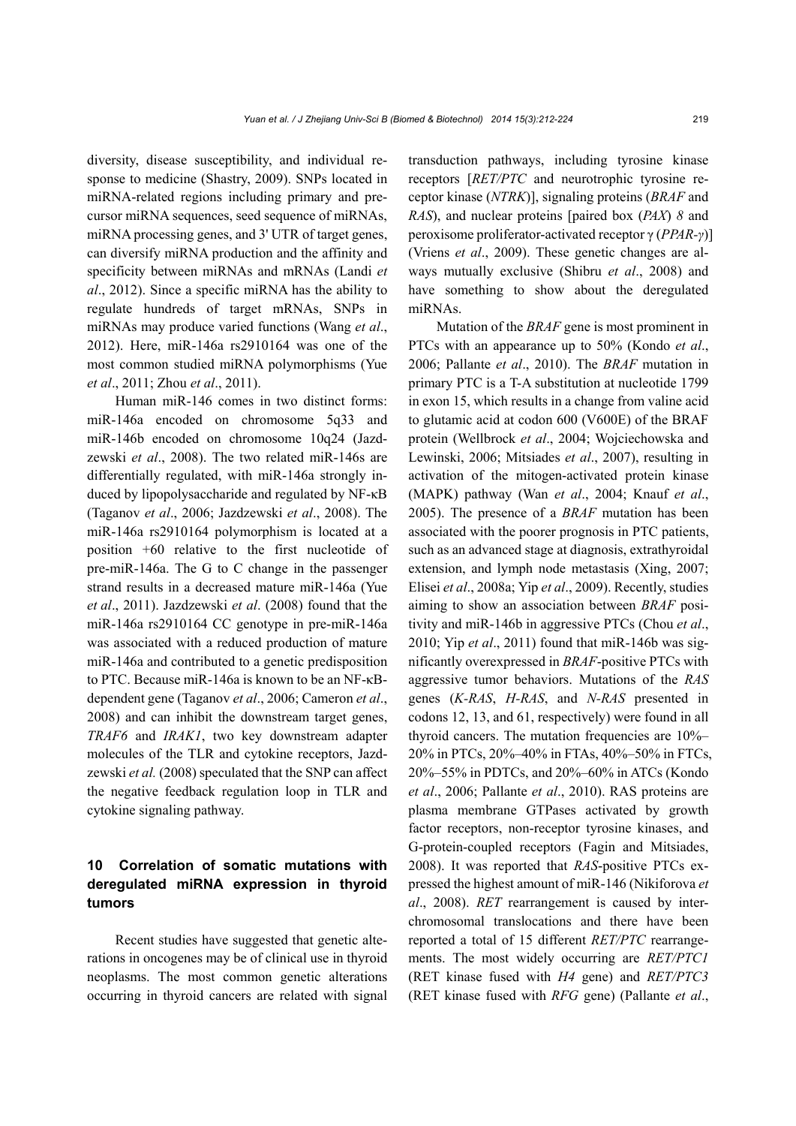diversity, disease susceptibility, and individual response to medicine (Shastry, 2009). SNPs located in miRNA-related regions including primary and precursor miRNA sequences, seed sequence of miRNAs, miRNA processing genes, and 3' UTR of target genes, can diversify miRNA production and the affinity and specificity between miRNAs and mRNAs (Landi *et al*., 2012). Since a specific miRNA has the ability to regulate hundreds of target mRNAs, SNPs in miRNAs may produce varied functions (Wang *et al*., 2012). Here, miR-146a rs2910164 was one of the most common studied miRNA polymorphisms (Yue *et al*., 2011; Zhou *et al*., 2011).

Human miR-146 comes in two distinct forms: miR-146a encoded on chromosome 5q33 and miR-146b encoded on chromosome 10q24 (Jazdzewski *et al*., 2008). The two related miR-146s are differentially regulated, with miR-146a strongly induced by lipopolysaccharide and regulated by NF-κB (Taganov *et al*., 2006; Jazdzewski *et al*., 2008). The miR-146a rs2910164 polymorphism is located at a position +60 relative to the first nucleotide of pre-miR-146a. The G to C change in the passenger strand results in a decreased mature miR-146a (Yue *et al*., 2011). Jazdzewski *et al*. (2008) found that the miR-146a rs2910164 CC genotype in pre-miR-146a was associated with a reduced production of mature miR-146a and contributed to a genetic predisposition to PTC. Because miR-146a is known to be an NF-κBdependent gene (Taganov *et al*., 2006; Cameron *et al*., 2008) and can inhibit the downstream target genes, *TRAF6* and *IRAK1*, two key downstream adapter molecules of the TLR and cytokine receptors, Jazdzewski *et al.* (2008) speculated that the SNP can affect the negative feedback regulation loop in TLR and cytokine signaling pathway.

# **10 Correlation of somatic mutations with deregulated miRNA expression in thyroid tumors**

Recent studies have suggested that genetic alterations in oncogenes may be of clinical use in thyroid neoplasms. The most common genetic alterations occurring in thyroid cancers are related with signal transduction pathways, including tyrosine kinase receptors [*RET/PTC* and neurotrophic tyrosine receptor kinase (*NTRK*)], signaling proteins (*BRAF* and *RAS*), and nuclear proteins [paired box (*PAX*) *8* and peroxisome proliferator-activated receptor γ (*PPAR-γ*)] (Vriens *et al*., 2009). These genetic changes are always mutually exclusive (Shibru *et al*., 2008) and have something to show about the deregulated miRNAs.

Mutation of the *BRAF* gene is most prominent in PTCs with an appearance up to 50% (Kondo *et al*., 2006; Pallante *et al*., 2010). The *BRAF* mutation in primary PTC is a T-A substitution at nucleotide 1799 in exon 15, which results in a change from valine acid to glutamic acid at codon 600 (V600E) of the BRAF protein (Wellbrock *et al*., 2004; Wojciechowska and Lewinski, 2006; Mitsiades *et al*., 2007), resulting in activation of the mitogen-activated protein kinase (MAPK) pathway (Wan *et al*., 2004; Knauf *et al*., 2005). The presence of a *BRAF* mutation has been associated with the poorer prognosis in PTC patients, such as an advanced stage at diagnosis, extrathyroidal extension, and lymph node metastasis (Xing, 2007; Elisei *et al*., 2008a; Yip *et al*., 2009). Recently, studies aiming to show an association between *BRAF* positivity and miR-146b in aggressive PTCs (Chou *et al*., 2010; Yip *et al*., 2011) found that miR-146b was significantly overexpressed in *BRAF*-positive PTCs with aggressive tumor behaviors. Mutations of the *RAS*  genes (*K-RAS*, *H-RAS*, and *N-RAS* presented in codons 12, 13, and 61, respectively) were found in all thyroid cancers. The mutation frequencies are 10%– 20% in PTCs, 20%–40% in FTAs, 40%–50% in FTCs, 20%–55% in PDTCs, and 20%–60% in ATCs (Kondo *et al*., 2006; Pallante *et al*., 2010). RAS proteins are plasma membrane GTPases activated by growth factor receptors, non-receptor tyrosine kinases, and G-protein-coupled receptors (Fagin and Mitsiades, 2008). It was reported that *RAS*-positive PTCs expressed the highest amount of miR-146 (Nikiforova *et al*., 2008). *RET* rearrangement is caused by interchromosomal translocations and there have been reported a total of 15 different *RET/PTC* rearrangements. The most widely occurring are *RET/PTC1* (RET kinase fused with *H4* gene) and *RET/PTC3* (RET kinase fused with *RFG* gene) (Pallante *et al*.,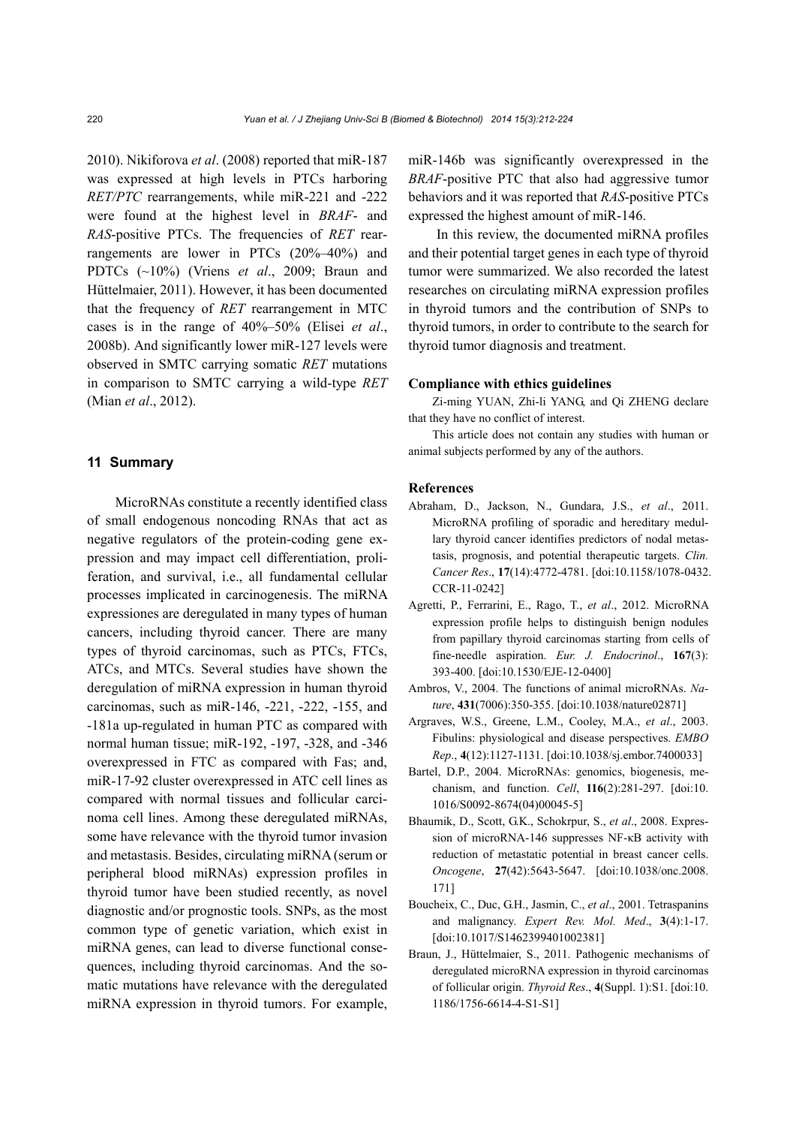2010). Nikiforova *et al*. (2008) reported that miR-187 was expressed at high levels in PTCs harboring *RET/PTC* rearrangements, while miR-221 and -222 were found at the highest level in *BRAF*- and *RAS*-positive PTCs. The frequencies of *RET* rearrangements are lower in PTCs (20%–40%) and PDTCs (~10%) (Vriens *et al*., 2009; Braun and Hüttelmaier, 2011). However, it has been documented that the frequency of *RET* rearrangement in MTC cases is in the range of 40%–50% (Elisei *et al*., 2008b). And significantly lower miR-127 levels were observed in SMTC carrying somatic *RET* mutations in comparison to SMTC carrying a wild-type *RET* (Mian *et al*., 2012).

#### **11 Summary**

MicroRNAs constitute a recently identified class of small endogenous noncoding RNAs that act as negative regulators of the protein-coding gene expression and may impact cell differentiation, proliferation, and survival, i.e., all fundamental cellular processes implicated in carcinogenesis. The miRNA expressiones are deregulated in many types of human cancers, including thyroid cancer. There are many types of thyroid carcinomas, such as PTCs, FTCs, ATCs, and MTCs. Several studies have shown the deregulation of miRNA expression in human thyroid carcinomas, such as miR-146, -221, -222, -155, and -181a up-regulated in human PTC as compared with normal human tissue; miR-192, -197, -328, and -346 overexpressed in FTC as compared with Fas; and, miR-17-92 cluster overexpressed in ATC cell lines as compared with normal tissues and follicular carcinoma cell lines. Among these deregulated miRNAs, some have relevance with the thyroid tumor invasion and metastasis. Besides, circulating miRNA (serum or peripheral blood miRNAs) expression profiles in thyroid tumor have been studied recently, as novel diagnostic and/or prognostic tools. SNPs, as the most common type of genetic variation, which exist in miRNA genes, can lead to diverse functional consequences, including thyroid carcinomas. And the somatic mutations have relevance with the deregulated miRNA expression in thyroid tumors. For example, miR-146b was significantly overexpressed in the *BRAF*-positive PTC that also had aggressive tumor behaviors and it was reported that *RAS*-positive PTCs expressed the highest amount of miR-146.

In this review, the documented miRNA profiles and their potential target genes in each type of thyroid tumor were summarized. We also recorded the latest researches on circulating miRNA expression profiles in thyroid tumors and the contribution of SNPs to thyroid tumors, in order to contribute to the search for thyroid tumor diagnosis and treatment.

#### **Compliance with ethics guidelines**

Zi-ming YUAN, Zhi-li YANG, and Qi ZHENG declare that they have no conflict of interest.

This article does not contain any studies with human or animal subjects performed by any of the authors.

#### **References**

- Abraham, D., Jackson, N., Gundara, J.S., *et al*., 2011. MicroRNA profiling of sporadic and hereditary medullary thyroid cancer identifies predictors of nodal metastasis, prognosis, and potential therapeutic targets. *Clin. Cancer Res*., **17**(14):4772-4781. [doi:10.1158/1078-0432. CCR-11-0242]
- Agretti, P., Ferrarini, E., Rago, T., *et al*., 2012. MicroRNA expression profile helps to distinguish benign nodules from papillary thyroid carcinomas starting from cells of fine-needle aspiration. *Eur. J. Endocrinol*., **167**(3): 393-400. [doi:10.1530/EJE-12-0400]
- Ambros, V., 2004. The functions of animal microRNAs. *Nature*, **431**(7006):350-355. [doi:10.1038/nature02871]
- Argraves, W.S., Greene, L.M., Cooley, M.A., *et al*., 2003. Fibulins: physiological and disease perspectives. *EMBO Rep*., **4**(12):1127-1131. [doi:10.1038/sj.embor.7400033]
- Bartel, D.P., 2004. MicroRNAs: genomics, biogenesis, mechanism, and function. *Cell*, **116**(2):281-297. [doi:10. 1016/S0092-8674(04)00045-5]
- Bhaumik, D., Scott, G.K., Schokrpur, S., *et al*., 2008. Expression of microRNA-146 suppresses NF-κB activity with reduction of metastatic potential in breast cancer cells. *Oncogene*, **27**(42):5643-5647. [doi:10.1038/onc.2008. 171]
- Boucheix, C., Duc, G.H., Jasmin, C., *et al*., 2001. Tetraspanins and malignancy. *Expert Rev. Mol. Med*., **3**(4):1-17. [doi:10.1017/S1462399401002381]
- Braun, J., Hüttelmaier, S., 2011. Pathogenic mechanisms of deregulated microRNA expression in thyroid carcinomas of follicular origin. *Thyroid Res*., **4**(Suppl. 1):S1. [doi:10. 1186/1756-6614-4-S1-S1]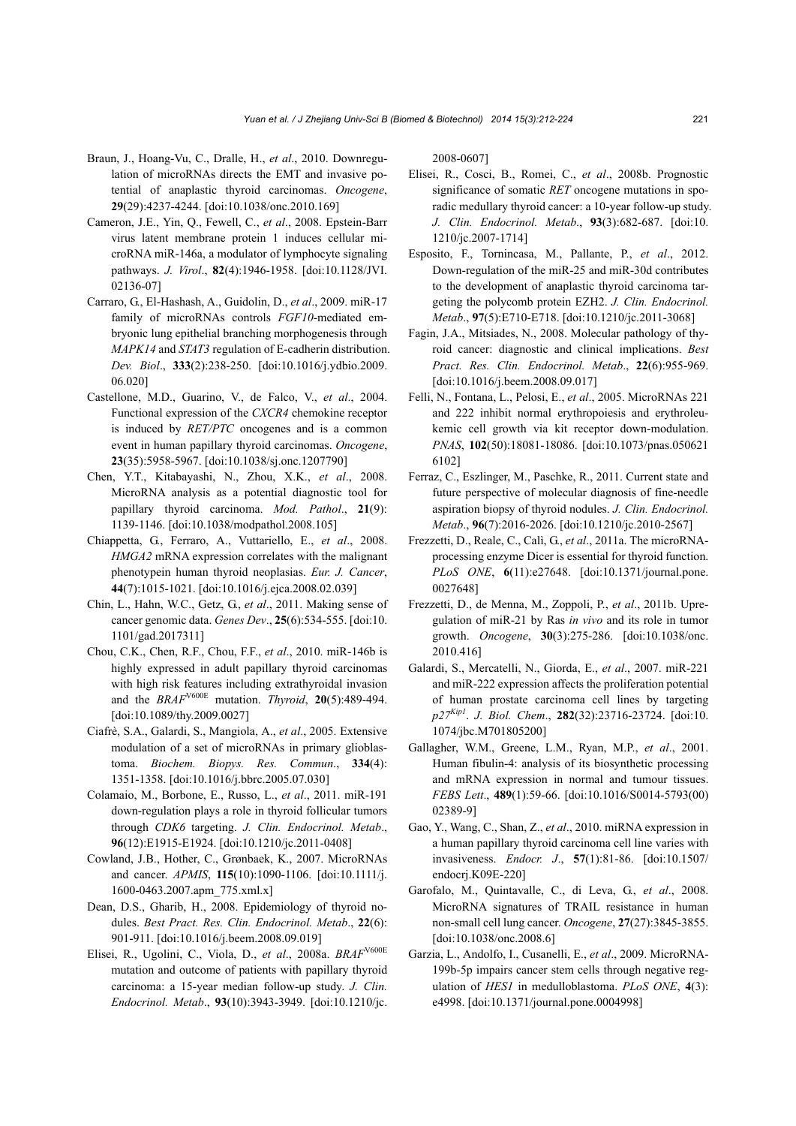- Braun, J., Hoang-Vu, C., Dralle, H., *et al*., 2010. Downregulation of microRNAs directs the EMT and invasive potential of anaplastic thyroid carcinomas. *Oncogene*, **29**(29):4237-4244. [doi:10.1038/onc.2010.169]
- Cameron, J.E., Yin, Q., Fewell, C., *et al*., 2008. Epstein-Barr virus latent membrane protein 1 induces cellular microRNA miR-146a, a modulator of lymphocyte signaling pathways. *J. Virol*., **82**(4):1946-1958. [doi:10.1128/JVI. 02136-07]
- Carraro, G., El-Hashash, A., Guidolin, D., *et al*., 2009. miR-17 family of microRNAs controls *FGF10*-mediated embryonic lung epithelial branching morphogenesis through *MAPK14* and *STAT3* regulation of E-cadherin distribution. *Dev. Biol*., **333**(2):238-250. [doi:10.1016/j.ydbio.2009. 06.020]
- Castellone, M.D., Guarino, V., de Falco, V., *et al*., 2004. Functional expression of the *CXCR4* chemokine receptor is induced by *RET/PTC* oncogenes and is a common event in human papillary thyroid carcinomas. *Oncogene*, **23**(35):5958-5967. [doi:10.1038/sj.onc.1207790]
- Chen, Y.T., Kitabayashi, N., Zhou, X.K., *et al*., 2008. MicroRNA analysis as a potential diagnostic tool for papillary thyroid carcinoma. *Mod. Pathol*., **21**(9): 1139-1146. [doi:10.1038/modpathol.2008.105]
- Chiappetta, G., Ferraro, A., Vuttariello, E., *et al*., 2008. *HMGA2* mRNA expression correlates with the malignant phenotypein human thyroid neoplasias. *Eur. J. Cancer*, **44**(7):1015-1021. [doi:10.1016/j.ejca.2008.02.039]
- Chin, L., Hahn, W.C., Getz, G., *et al*., 2011. Making sense of cancer genomic data. *Genes Dev*., **25**(6):534-555. [doi:10. 1101/gad.2017311]
- Chou, C.K., Chen, R.F., Chou, F.F., *et al*., 2010. miR-146b is highly expressed in adult papillary thyroid carcinomas with high risk features including extrathyroidal invasion and the *BRAF*V600E mutation. *Thyroid*, **20**(5):489-494. [doi:10.1089/thy.2009.0027]
- Ciafrè, S.A., Galardi, S., Mangiola, A., *et al*., 2005. Extensive modulation of a set of microRNAs in primary glioblastoma. *Biochem. Biopys. Res. Commun*., **334**(4): 1351-1358. [doi:10.1016/j.bbrc.2005.07.030]
- Colamaio, M., Borbone, E., Russo, L., *et al*., 2011. miR-191 down-regulation plays a role in thyroid follicular tumors through *CDK6* targeting. *J. Clin. Endocrinol. Metab*., **96**(12):E1915-E1924. [doi:10.1210/jc.2011-0408]
- Cowland, J.B., Hother, C., Grønbaek, K., 2007. MicroRNAs and cancer. *APMIS*, **115**(10):1090-1106. [doi:10.1111/j. 1600-0463.2007.apm\_775.xml.x]
- Dean, D.S., Gharib, H., 2008. Epidemiology of thyroid nodules. *Best Pract. Res. Clin. Endocrinol. Metab*., **22**(6): 901-911. [doi:10.1016/j.beem.2008.09.019]
- Elisei, R., Ugolini, C., Viola, D., *et al*., 2008a. *BRAF*V600E mutation and outcome of patients with papillary thyroid carcinoma: a 15-year median follow-up study. *J. Clin. Endocrinol. Metab*., **93**(10):3943-3949. [doi:10.1210/jc.

2008-0607]

- Elisei, R., Cosci, B., Romei, C., *et al*., 2008b. Prognostic significance of somatic *RET* oncogene mutations in sporadic medullary thyroid cancer: a 10-year follow-up study. *J. Clin. Endocrinol. Metab*., **93**(3):682-687. [doi:10. 1210/jc.2007-1714]
- Esposito, F., Tornincasa, M., Pallante, P., *et al*., 2012. Down-regulation of the miR-25 and miR-30d contributes to the development of anaplastic thyroid carcinoma targeting the polycomb protein EZH2. *J. Clin. Endocrinol. Metab*., **97**(5):E710-E718. [doi:10.1210/jc.2011-3068]
- Fagin, J.A., Mitsiades, N., 2008. Molecular pathology of thyroid cancer: diagnostic and clinical implications. *Best Pract. Res. Clin. Endocrinol. Metab*., **22**(6):955-969. [doi:10.1016/j.beem.2008.09.017]
- Felli, N., Fontana, L., Pelosi, E., *et al*., 2005. MicroRNAs 221 and 222 inhibit normal erythropoiesis and erythroleukemic cell growth via kit receptor down-modulation. *PNAS*, **102**(50):18081-18086. [doi:10.1073/pnas.050621 6102]
- Ferraz, C., Eszlinger, M., Paschke, R., 2011. Current state and future perspective of molecular diagnosis of fine-needle aspiration biopsy of thyroid nodules. *J. Clin. Endocrinol. Metab*., **96**(7):2016-2026. [doi:10.1210/jc.2010-2567]
- Frezzetti, D., Reale, C., Calì, G., *et al*., 2011a. The microRNAprocessing enzyme Dicer is essential for thyroid function. *PLoS ONE*, **6**(11):e27648. [doi:10.1371/journal.pone. 0027648]
- Frezzetti, D., de Menna, M., Zoppoli, P., *et al*., 2011b. Upregulation of miR-21 by Ras *in vivo* and its role in tumor growth. *Oncogene*, **30**(3):275-286. [doi:10.1038/onc. 2010.416]
- Galardi, S., Mercatelli, N., Giorda, E., *et al*., 2007. miR-221 and miR-222 expression affects the proliferation potential of human prostate carcinoma cell lines by targeting *p27Kip1*. *J. Biol. Chem*., **282**(32):23716-23724. [doi:10. 1074/jbc.M701805200]
- Gallagher, W.M., Greene, L.M., Ryan, M.P., *et al*., 2001. Human fibulin-4: analysis of its biosynthetic processing and mRNA expression in normal and tumour tissues. *FEBS Lett*., **489**(1):59-66. [doi:10.1016/S0014-5793(00) 02389-9]
- Gao, Y., Wang, C., Shan, Z., *et al*., 2010. miRNA expression in a human papillary thyroid carcinoma cell line varies with invasiveness. *Endocr. J*., **57**(1):81-86. [doi:10.1507/ endocrj.K09E-220]
- Garofalo, M., Quintavalle, C., di Leva, G., *et al*., 2008. MicroRNA signatures of TRAIL resistance in human non-small cell lung cancer. *Oncogene*, **27**(27):3845-3855. [doi:10.1038/onc.2008.6]
- Garzia, L., Andolfo, I., Cusanelli, E., *et al*., 2009. MicroRNA-199b-5p impairs cancer stem cells through negative regulation of *HES1* in medulloblastoma. *PLoS ONE*, **4**(3): e4998. [doi:10.1371/journal.pone.0004998]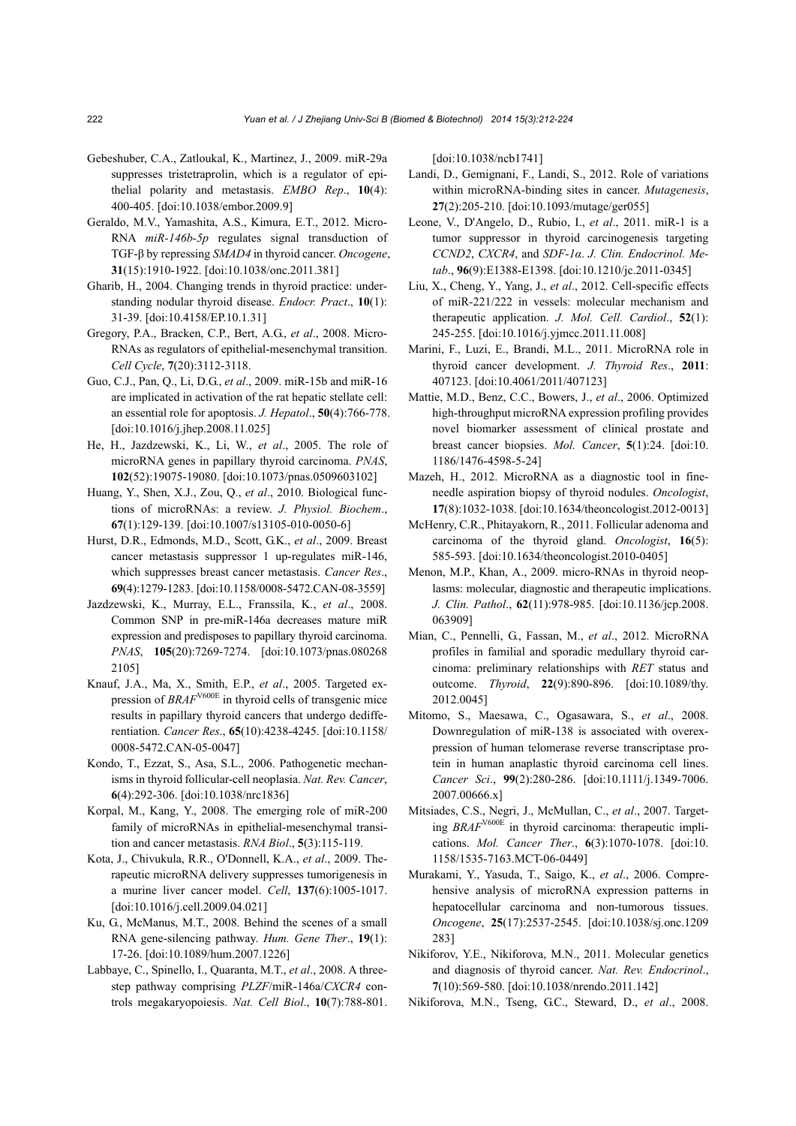- Gebeshuber, C.A., Zatloukal, K., Martinez, J., 2009. miR-29a suppresses tristetraprolin, which is a regulator of epithelial polarity and metastasis. *EMBO Rep*., **10**(4): 400-405. [doi:10.1038/embor.2009.9]
- Geraldo, M.V., Yamashita, A.S., Kimura, E.T., 2012. Micro-RNA *miR-146b-5p* regulates signal transduction of TGF-β by repressing *SMAD4* in thyroid cancer. *Oncogene*, **31**(15):1910-1922. [doi:10.1038/onc.2011.381]
- Gharib, H., 2004. Changing trends in thyroid practice: understanding nodular thyroid disease. *Endocr. Pract*., **10**(1): 31-39. [doi:10.4158/EP.10.1.31]
- Gregory, P.A., Bracken, C.P., Bert, A.G., *et al*., 2008. Micro-RNAs as regulators of epithelial-mesenchymal transition. *Cell Cycle*, **7**(20):3112-3118.
- Guo, C.J., Pan, Q., Li, D.G., *et al*., 2009. miR-15b and miR-16 are implicated in activation of the rat hepatic stellate cell: an essential role for apoptosis. *J. Hepatol*., **50**(4):766-778. [doi:10.1016/j.jhep.2008.11.025]
- He, H., Jazdzewski, K., Li, W., *et al*., 2005. The role of microRNA genes in papillary thyroid carcinoma. *PNAS*, **102**(52):19075-19080. [doi:10.1073/pnas.0509603102]
- Huang, Y., Shen, X.J., Zou, Q., *et al*., 2010. Biological functions of microRNAs: a review. *J. Physiol. Biochem*., **67**(1):129-139. [doi:10.1007/s13105-010-0050-6]
- Hurst, D.R., Edmonds, M.D., Scott, G.K., *et al*., 2009. Breast cancer metastasis suppressor 1 up-regulates miR-146, which suppresses breast cancer metastasis. *Cancer Res*., **69**(4):1279-1283. [doi:10.1158/0008-5472.CAN-08-3559]
- Jazdzewski, K., Murray, E.L., Franssila, K., *et al*., 2008. Common SNP in pre-miR-146a decreases mature miR expression and predisposes to papillary thyroid carcinoma. *PNAS*, **105**(20):7269-7274. [doi:10.1073/pnas.080268 2105]
- Knauf, J.A., Ma, X., Smith, E.P., *et al*., 2005. Targeted expression of *BRAF*V600E in thyroid cells of transgenic mice results in papillary thyroid cancers that undergo dedifferentiation. *Cancer Res*., **65**(10):4238-4245. [doi:10.1158/ 0008-5472.CAN-05-0047]
- Kondo, T., Ezzat, S., Asa, S.L., 2006. Pathogenetic mechanisms in thyroid follicular-cell neoplasia. *Nat. Rev. Cancer*, **6**(4):292-306. [doi:10.1038/nrc1836]
- Korpal, M., Kang, Y., 2008. The emerging role of miR-200 family of microRNAs in epithelial-mesenchymal transition and cancer metastasis. *RNA Biol*., **5**(3):115-119.
- Kota, J., Chivukula, R.R., O'Donnell, K.A., *et al*., 2009. Therapeutic microRNA delivery suppresses tumorigenesis in a murine liver cancer model. *Cell*, **137**(6):1005-1017. [doi:10.1016/j.cell.2009.04.021]
- Ku, G., McManus, M.T., 2008. Behind the scenes of a small RNA gene-silencing pathway. *Hum. Gene Ther*., **19**(1): 17-26. [doi:10.1089/hum.2007.1226]
- Labbaye, C., Spinello, I., Quaranta, M.T., *et al*., 2008. A threestep pathway comprising *PLZF*/miR-146a/*CXCR4* controls megakaryopoiesis. *Nat. Cell Biol*., **10**(7):788-801.

[doi:10.1038/ncb1741]

- Landi, D., Gemignani, F., Landi, S., 2012. Role of variations within microRNA-binding sites in cancer. *Mutagenesis*, **27**(2):205-210. [doi:10.1093/mutage/ger055]
- Leone, V., D'Angelo, D., Rubio, I., *et al*., 2011. miR-1 is a tumor suppressor in thyroid carcinogenesis targeting *CCND2*, *CXCR4*, and *SDF-1α*. *J. Clin. Endocrinol. Metab*., **96**(9):E1388-E1398. [doi:10.1210/jc.2011-0345]
- Liu, X., Cheng, Y., Yang, J., *et al*., 2012. Cell-specific effects of miR-221/222 in vessels: molecular mechanism and therapeutic application. *J. Mol. Cell. Cardiol*., **52**(1): 245-255. [doi:10.1016/j.yjmcc.2011.11.008]
- Marini, F., Luzi, E., Brandi, M.L., 2011. MicroRNA role in thyroid cancer development. *J. Thyroid Res*., **2011**: 407123. [doi:10.4061/2011/407123]
- Mattie, M.D., Benz, C.C., Bowers, J., *et al*., 2006. Optimized high-throughput microRNA expression profiling provides novel biomarker assessment of clinical prostate and breast cancer biopsies. *Mol. Cancer*, **5**(1):24. [doi:10. 1186/1476-4598-5-24]
- Mazeh, H., 2012. MicroRNA as a diagnostic tool in fineneedle aspiration biopsy of thyroid nodules. *Oncologist*, **17**(8):1032-1038. [doi:10.1634/theoncologist.2012-0013]
- McHenry, C.R., Phitayakorn, R., 2011. Follicular adenoma and carcinoma of the thyroid gland. *Oncologist*, **16**(5): 585-593. [doi:10.1634/theoncologist.2010-0405]
- Menon, M.P., Khan, A., 2009. micro-RNAs in thyroid neoplasms: molecular, diagnostic and therapeutic implications. *J. Clin. Pathol*., **62**(11):978-985. [doi:10.1136/jcp.2008. 063909]
- Mian, C., Pennelli, G., Fassan, M., *et al*., 2012. MicroRNA profiles in familial and sporadic medullary thyroid carcinoma: preliminary relationships with *RET* status and outcome. *Thyroid*, **22**(9):890-896. [doi:10.1089/thy. 2012.0045]
- Mitomo, S., Maesawa, C., Ogasawara, S., *et al*., 2008. Downregulation of miR-138 is associated with overexpression of human telomerase reverse transcriptase protein in human anaplastic thyroid carcinoma cell lines. *Cancer Sci*., **99**(2):280-286. [doi:10.1111/j.1349-7006. 2007.00666.x]
- Mitsiades, C.S., Negri, J., McMullan, C., *et al*., 2007. Targeting *BRAF*V600E in thyroid carcinoma: therapeutic implications. *Mol. Cancer Ther*., **6**(3):1070-1078. [doi:10. 1158/1535-7163.MCT-06-0449]
- Murakami, Y., Yasuda, T., Saigo, K., *et al*., 2006. Comprehensive analysis of microRNA expression patterns in hepatocellular carcinoma and non-tumorous tissues. *Oncogene*, **25**(17):2537-2545. [doi:10.1038/sj.onc.1209 283]
- Nikiforov, Y.E., Nikiforova, M.N., 2011. Molecular genetics and diagnosis of thyroid cancer. *Nat. Rev. Endocrinol*., **7**(10):569-580. [doi:10.1038/nrendo.2011.142]
- Nikiforova, M.N., Tseng, G.C., Steward, D., *et al*., 2008.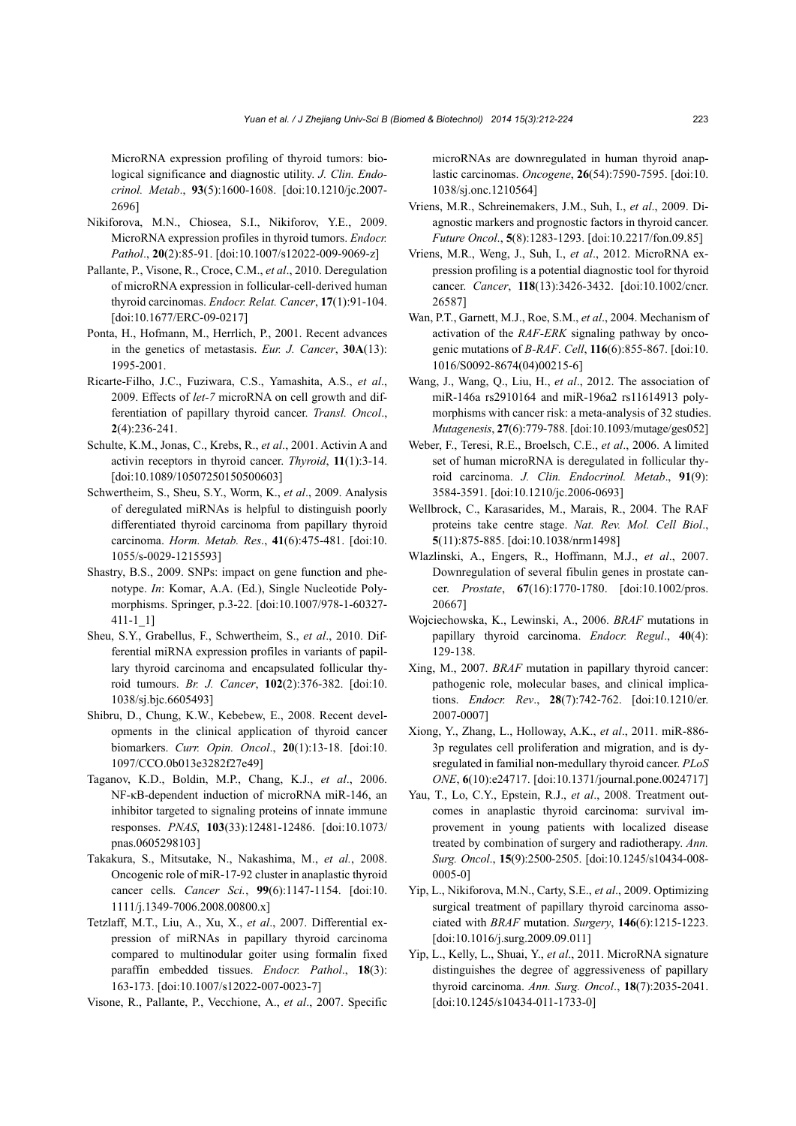MicroRNA expression profiling of thyroid tumors: biological significance and diagnostic utility. *J. Clin. Endocrinol. Metab*., **93**(5):1600-1608. [doi:10.1210/jc.2007- 2696]

- Nikiforova, M.N., Chiosea, S.I., Nikiforov, Y.E., 2009. MicroRNA expression profiles in thyroid tumors. *Endocr. Pathol*., **20**(2):85-91. [doi:10.1007/s12022-009-9069-z]
- Pallante, P., Visone, R., Croce, C.M., *et al*., 2010. Deregulation of microRNA expression in follicular-cell-derived human thyroid carcinomas. *Endocr. Relat. Cancer*, **17**(1):91-104. [doi:10.1677/ERC-09-0217]
- Ponta, H., Hofmann, M., Herrlich, P., 2001. Recent advances in the genetics of metastasis. *Eur. J. Cancer*, **30A**(13): 1995-2001.
- Ricarte-Filho, J.C., Fuziwara, C.S., Yamashita, A.S., *et al*., 2009. Effects of *let-7* microRNA on cell growth and differentiation of papillary thyroid cancer. *Transl. Oncol*., **2**(4):236-241.
- Schulte, K.M., Jonas, C., Krebs, R., *et al*., 2001. Activin A and activin receptors in thyroid cancer. *Thyroid*, **11**(1):3-14. [doi:10.1089/10507250150500603]
- Schwertheim, S., Sheu, S.Y., Worm, K., *et al*., 2009. Analysis of deregulated miRNAs is helpful to distinguish poorly differentiated thyroid carcinoma from papillary thyroid carcinoma. *Horm. Metab. Res*., **41**(6):475-481. [doi:10. 1055/s-0029-1215593]
- Shastry, B.S., 2009. SNPs: impact on gene function and phenotype. *In*: Komar, A.A. (Ed.), Single Nucleotide Polymorphisms. Springer, p.3-22. [doi:10.1007/978-1-60327- 411-1\_1]
- Sheu, S.Y., Grabellus, F., Schwertheim, S., *et al*., 2010. Differential miRNA expression profiles in variants of papillary thyroid carcinoma and encapsulated follicular thyroid tumours. *Br. J. Cancer*, **102**(2):376-382. [doi:10. 1038/sj.bjc.6605493]
- Shibru, D., Chung, K.W., Kebebew, E., 2008. Recent developments in the clinical application of thyroid cancer biomarkers. *Curr. Opin. Oncol*., **20**(1):13-18. [doi:10. 1097/CCO.0b013e3282f27e49]
- Taganov, K.D., Boldin, M.P., Chang, K.J., *et al*., 2006. NF-κB-dependent induction of microRNA miR-146, an inhibitor targeted to signaling proteins of innate immune responses. *PNAS*, **103**(33):12481-12486. [doi:10.1073/ pnas.0605298103]
- Takakura, S., Mitsutake, N., Nakashima, M., *et al.*, 2008. Oncogenic role of miR-17-92 cluster in anaplastic thyroid cancer cells. *Cancer Sci.*, **99**(6):1147-1154. [doi:10. 1111/j.1349-7006.2008.00800.x]
- Tetzlaff, M.T., Liu, A., Xu, X., *et al*., 2007. Differential expression of miRNAs in papillary thyroid carcinoma compared to multinodular goiter using formalin fixed paraffin embedded tissues. *Endocr. Pathol*., **18**(3): 163-173. [doi:10.1007/s12022-007-0023-7]
- Visone, R., Pallante, P., Vecchione, A., *et al*., 2007. Specific

microRNAs are downregulated in human thyroid anaplastic carcinomas. *Oncogene*, **26**(54):7590-7595. [doi:10. 1038/sj.onc.1210564]

- Vriens, M.R., Schreinemakers, J.M., Suh, I., *et al*., 2009. Diagnostic markers and prognostic factors in thyroid cancer. *Future Oncol*., **5**(8):1283-1293. [doi:10.2217/fon.09.85]
- Vriens, M.R., Weng, J., Suh, I., *et al*., 2012. MicroRNA expression profiling is a potential diagnostic tool for thyroid cancer. *Cancer*, **118**(13):3426-3432. [doi:10.1002/cncr. 26587]
- Wan, P.T., Garnett, M.J., Roe, S.M., *et al*., 2004. Mechanism of activation of the *RAF-ERK* signaling pathway by oncogenic mutations of *B-RAF*. *Cell*, **116**(6):855-867. [doi:10. 1016/S0092-8674(04)00215-6]
- Wang, J., Wang, Q., Liu, H., *et al*., 2012. The association of miR-146a rs2910164 and miR-196a2 rs11614913 polymorphisms with cancer risk: a meta-analysis of 32 studies. *Mutagenesis*, **27**(6):779-788. [doi:10.1093/mutage/ges052]
- Weber, F., Teresi, R.E., Broelsch, C.E., *et al*., 2006. A limited set of human microRNA is deregulated in follicular thyroid carcinoma. *J. Clin. Endocrinol. Metab*., **91**(9): 3584-3591. [doi:10.1210/jc.2006-0693]
- Wellbrock, C., Karasarides, M., Marais, R., 2004. The RAF proteins take centre stage. *Nat. Rev. Mol. Cell Biol*., **5**(11):875-885. [doi:10.1038/nrm1498]
- Wlazlinski, A., Engers, R., Hoffmann, M.J., *et al*., 2007. Downregulation of several fibulin genes in prostate cancer. *Prostate*, **67**(16):1770-1780. [doi:10.1002/pros. 20667]
- Wojciechowska, K., Lewinski, A., 2006. *BRAF* mutations in papillary thyroid carcinoma. *Endocr. Regul*., **40**(4): 129-138.
- Xing, M., 2007. *BRAF* mutation in papillary thyroid cancer: pathogenic role, molecular bases, and clinical implications. *Endocr. Rev*., **28**(7):742-762. [doi:10.1210/er. 2007-0007]
- Xiong, Y., Zhang, L., Holloway, A.K., *et al*., 2011. miR-886- 3p regulates cell proliferation and migration, and is dysregulated in familial non-medullary thyroid cancer. *PLoS ONE*, **6**(10):e24717. [doi:10.1371/journal.pone.0024717]
- Yau, T., Lo, C.Y., Epstein, R.J., *et al*., 2008. Treatment outcomes in anaplastic thyroid carcinoma: survival improvement in young patients with localized disease treated by combination of surgery and radiotherapy. *Ann. Surg. Oncol*., **15**(9):2500-2505. [doi:10.1245/s10434-008- 0005-0]
- Yip, L., Nikiforova, M.N., Carty, S.E., *et al*., 2009. Optimizing surgical treatment of papillary thyroid carcinoma associated with *BRAF* mutation. *Surgery*, **146**(6):1215-1223. [doi:10.1016/j.surg.2009.09.011]
- Yip, L., Kelly, L., Shuai, Y., *et al*., 2011. MicroRNA signature distinguishes the degree of aggressiveness of papillary thyroid carcinoma. *Ann. Surg. Oncol*., **18**(7):2035-2041. [doi:10.1245/s10434-011-1733-0]